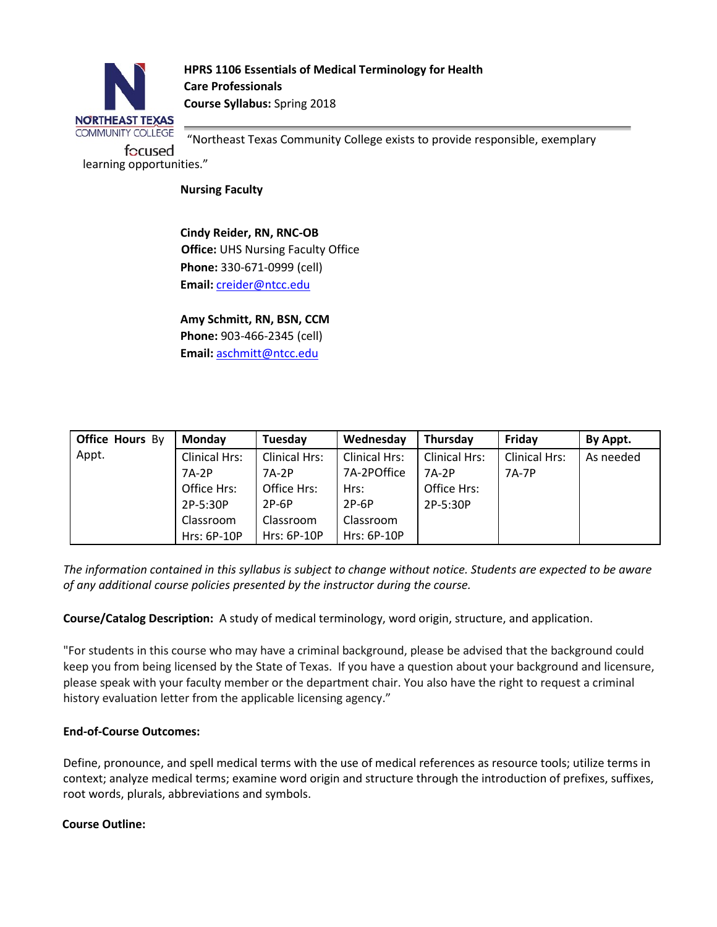

**HPRS 1106 Essentials of Medical Terminology for Health Care Professionals Course Syllabus:** Spring 2018

"Northeast Texas Community College exists to provide responsible, exemplary

**Nursing Faculty** 

**Cindy Reider, RN, RNC-OB Office:** UHS Nursing Faculty Office **Phone:** 330-671-0999 (cell) **Email:** creider@ntcc.edu

**Amy Schmitt, RN, BSN, CCM** 

**Phone:** 903-466-2345 (cell) **Email:** aschmitt@ntcc.edu

| <b>Office Hours By</b> | <b>Monday</b> | Tuesdav            | Wednesday            | Thursday      | Friday               | By Appt.  |
|------------------------|---------------|--------------------|----------------------|---------------|----------------------|-----------|
| Appt.                  | Clinical Hrs: | Clinical Hrs:      | <b>Clinical Hrs:</b> | Clinical Hrs: | <b>Clinical Hrs:</b> | As needed |
|                        | 7A-2P         | 7A-2P              | 7A-2POffice          | 7A-2P         | 7A-7P                |           |
|                        | Office Hrs:   | Office Hrs:        | Hrs:                 | Office Hrs:   |                      |           |
|                        | 2P-5:30P      | $2P-6P$            | $2P-6P$              | 2P-5:30P      |                      |           |
|                        | Classroom     | Classroom          | Classroom            |               |                      |           |
|                        | Hrs: 6P-10P   | <b>Hrs: 6P-10P</b> | <b>Hrs: 6P-10P</b>   |               |                      |           |

*The information contained in this syllabus is subject to change without notice. Students are expected to be aware of any additional course policies presented by the instructor during the course.* 

**Course/Catalog Description:** A study of medical terminology, word origin, structure, and application.

"For students in this course who may have a criminal background, please be advised that the background could keep you from being licensed by the State of Texas. If you have a question about your background and licensure, please speak with your faculty member or the department chair. You also have the right to request a criminal history evaluation letter from the applicable licensing agency."

# **End-of-Course Outcomes:**

Define, pronounce, and spell medical terms with the use of medical references as resource tools; utilize terms in context; analyze medical terms; examine word origin and structure through the introduction of prefixes, suffixes, root words, plurals, abbreviations and symbols.

# **Course Outline:**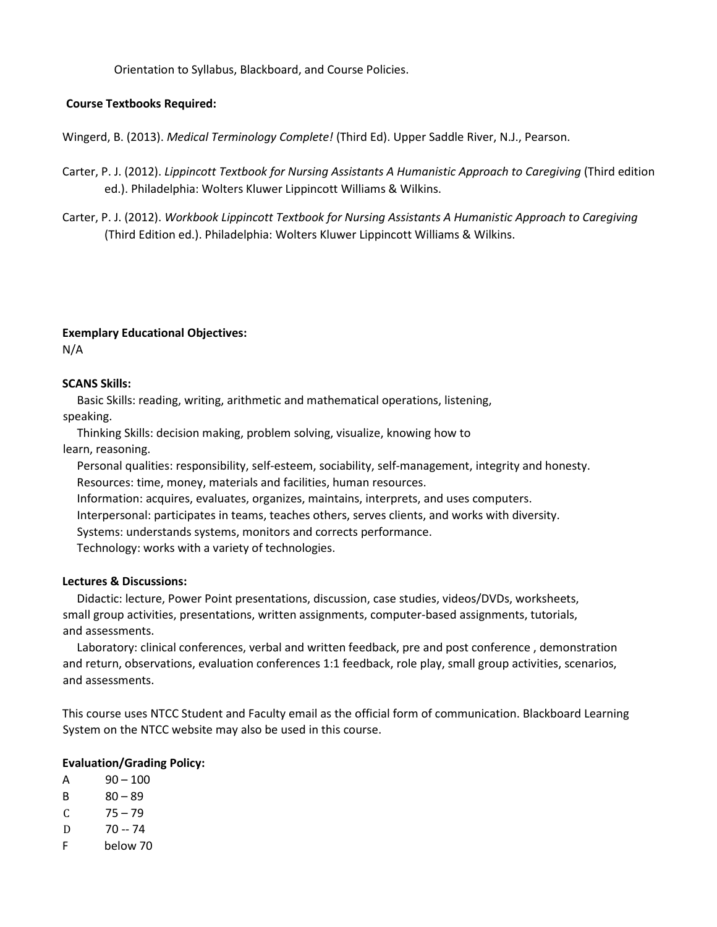Orientation to Syllabus, Blackboard, and Course Policies.

# **Course Textbooks Required:**

Wingerd, B. (2013). *Medical Terminology Complete!* (Third Ed). Upper Saddle River, N.J., Pearson.

- Carter, P. J. (2012). *Lippincott Textbook for Nursing Assistants A Humanistic Approach to Caregiving* (Third edition ed.). Philadelphia: Wolters Kluwer Lippincott Williams & Wilkins.
- Carter, P. J. (2012). *Workbook Lippincott Textbook for Nursing Assistants A Humanistic Approach to Caregiving* (Third Edition ed.). Philadelphia: Wolters Kluwer Lippincott Williams & Wilkins.

#### **Exemplary Educational Objectives:**

N/A

# **SCANS Skills:**

 Basic Skills: reading, writing, arithmetic and mathematical operations, listening, speaking.

 Thinking Skills: decision making, problem solving, visualize, knowing how to learn, reasoning.

 Personal qualities: responsibility, self-esteem, sociability, self-management, integrity and honesty. Resources: time, money, materials and facilities, human resources.

Information: acquires, evaluates, organizes, maintains, interprets, and uses computers.

Interpersonal: participates in teams, teaches others, serves clients, and works with diversity.

Systems: understands systems, monitors and corrects performance.

Technology: works with a variety of technologies.

#### **Lectures & Discussions:**

 Didactic: lecture, Power Point presentations, discussion, case studies, videos/DVDs, worksheets, small group activities, presentations, written assignments, computer-based assignments, tutorials, and assessments.

 Laboratory: clinical conferences, verbal and written feedback, pre and post conference , demonstration and return, observations, evaluation conferences 1:1 feedback, role play, small group activities, scenarios, and assessments.

This course uses NTCC Student and Faculty email as the official form of communication. Blackboard Learning System on the NTCC website may also be used in this course.

# **Evaluation/Grading Policy:**

- $A = 90 100$
- B 80 89
- $C = 75 79$
- 
- D 70 -- 74<br>F below 7 below 70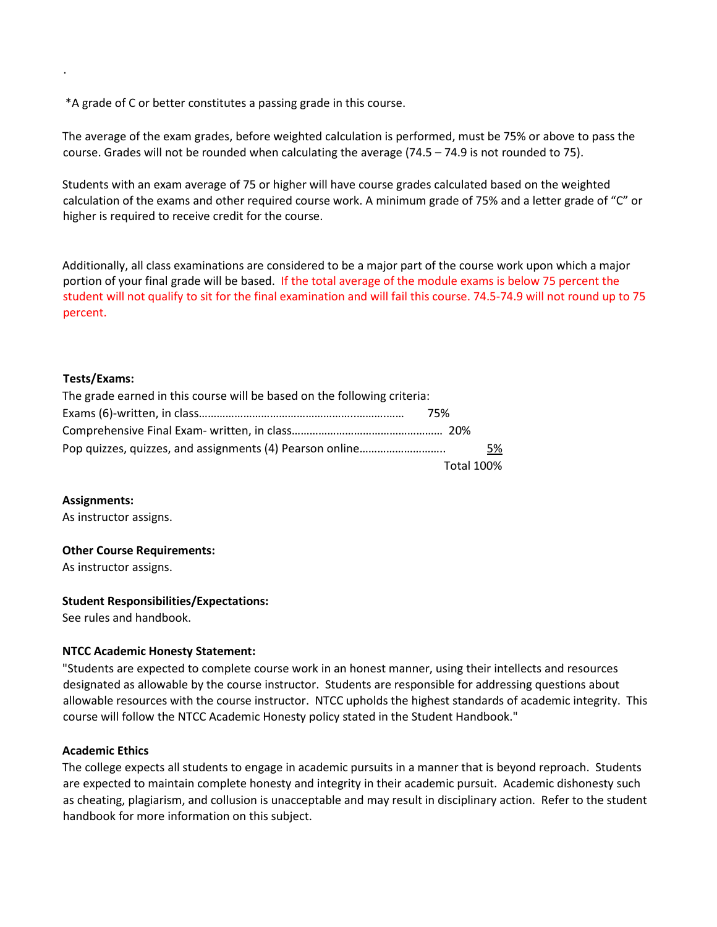\*A grade of C or better constitutes a passing grade in this course.

The average of the exam grades, before weighted calculation is performed, must be 75% or above to pass the course. Grades will not be rounded when calculating the average (74.5 – 74.9 is not rounded to 75).

Students with an exam average of 75 or higher will have course grades calculated based on the weighted calculation of the exams and other required course work. A minimum grade of 75% and a letter grade of "C" or higher is required to receive credit for the course.

Additionally, all class examinations are considered to be a major part of the course work upon which a major portion of your final grade will be based. If the total average of the module exams is below 75 percent the student will not qualify to sit for the final examination and will fail this course. 74.5-74.9 will not round up to 75 percent.

# **Tests/Exams:**

.

| The grade earned in this course will be based on the following criteria: |            |  |  |  |  |
|--------------------------------------------------------------------------|------------|--|--|--|--|
|                                                                          | 75%        |  |  |  |  |
|                                                                          |            |  |  |  |  |
|                                                                          | 5%         |  |  |  |  |
|                                                                          | Total 100% |  |  |  |  |

**Assignments:**

As instructor assigns.

# **Other Course Requirements:**

As instructor assigns.

# **Student Responsibilities/Expectations:**

See rules and handbook.

# **NTCC Academic Honesty Statement:**

"Students are expected to complete course work in an honest manner, using their intellects and resources designated as allowable by the course instructor. Students are responsible for addressing questions about allowable resources with the course instructor. NTCC upholds the highest standards of academic integrity. This course will follow the NTCC Academic Honesty policy stated in the Student Handbook."

#### **Academic Ethics**

The college expects all students to engage in academic pursuits in a manner that is beyond reproach. Students are expected to maintain complete honesty and integrity in their academic pursuit. Academic dishonesty such as cheating, plagiarism, and collusion is unacceptable and may result in disciplinary action. Refer to the student handbook for more information on this subject.